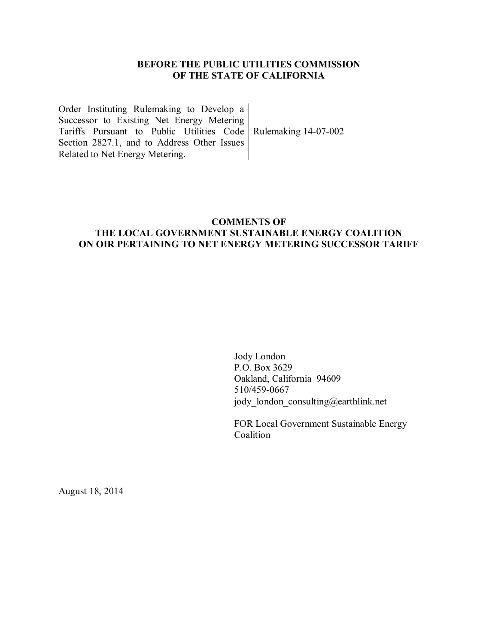### **BEFORE THE PUBLIC UTILITIES COMMISSION OF THE STATE OF CALIFORNIA**

Order Instituting Rulemaking to Develop a Successor to Existing Net Energy Metering Tariffs Pursuant to Public Utilities Code Rulemaking 14-07-002 Section 2827.1, and to Address Other Issues Related to Net Energy Metering.

### **COMMENTS OF THE LOCAL GOVERNMENT SUSTAINABLE ENERGY COALITION ON OIR PERTAINING TO NET ENERGY METERING SUCCESSOR TARIFF**

Jody London P.O. Box 3629 Oakland, California 94609 510/459-0667 jody\_london\_consulting@earthlink.net

FOR Local Government Sustainable Energy Coalition

August 18, 2014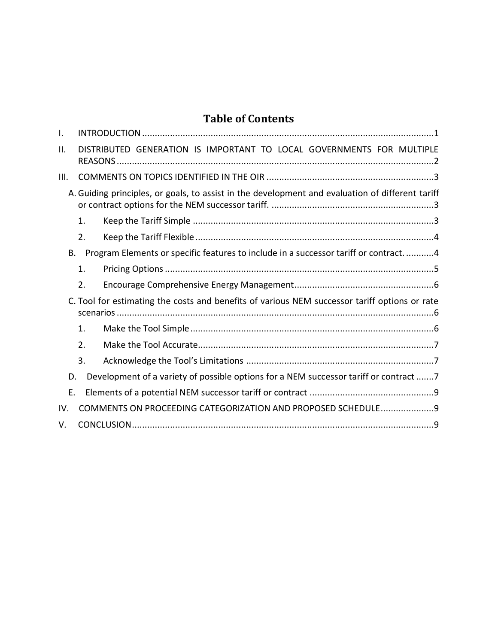# **Table of Contents**

| I.   |    |                                                                                                  |  |
|------|----|--------------------------------------------------------------------------------------------------|--|
| ΙΙ.  |    | DISTRIBUTED GENERATION IS IMPORTANT TO LOCAL GOVERNMENTS FOR MULTIPLE                            |  |
| III. |    |                                                                                                  |  |
|      |    | A. Guiding principles, or goals, to assist in the development and evaluation of different tariff |  |
|      | 1. |                                                                                                  |  |
|      | 2. |                                                                                                  |  |
| Β.   |    | Program Elements or specific features to include in a successor tariff or contract. 4            |  |
|      | 1. |                                                                                                  |  |
|      | 2. |                                                                                                  |  |
|      |    | C. Tool for estimating the costs and benefits of various NEM successor tariff options or rate    |  |
|      | 1. |                                                                                                  |  |
|      | 2. |                                                                                                  |  |
|      | 3. |                                                                                                  |  |
| D.   |    | Development of a variety of possible options for a NEM successor tariff or contract 7            |  |
| Ε.   |    |                                                                                                  |  |
| IV.  |    | COMMENTS ON PROCEEDING CATEGORIZATION AND PROPOSED SCHEDULE 9                                    |  |
| V.   |    |                                                                                                  |  |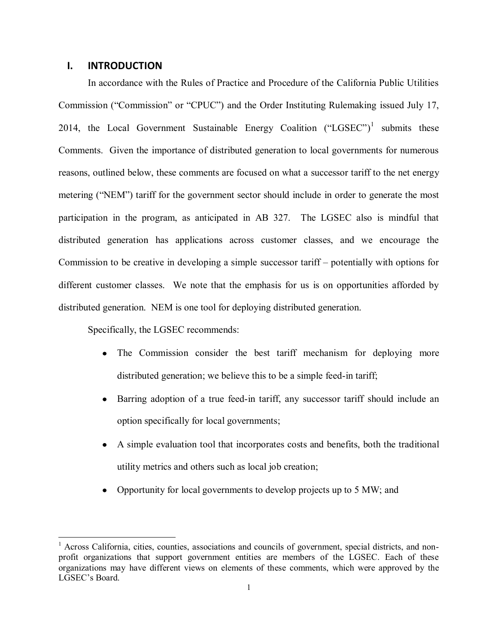#### <span id="page-2-0"></span>**I. INTRODUCTION**

In accordance with the Rules of Practice and Procedure of the California Public Utilities Commission ("Commission" or "CPUC") and the Order Instituting Rulemaking issued July 17, 2014, the Local Government Sustainable Energy Coalition  $("LGSEC")^1$  submits these Comments. Given the importance of distributed generation to local governments for numerous reasons, outlined below, these comments are focused on what a successor tariff to the net energy metering ("NEM") tariff for the government sector should include in order to generate the most participation in the program, as anticipated in AB 327. The LGSEC also is mindful that distributed generation has applications across customer classes, and we encourage the Commission to be creative in developing a simple successor tariff – potentially with options for different customer classes. We note that the emphasis for us is on opportunities afforded by distributed generation. NEM is one tool for deploying distributed generation.

Specifically, the LGSEC recommends:

- The Commission consider the best tariff mechanism for deploying more distributed generation; we believe this to be a simple feed-in tariff;
- Barring adoption of a true feed-in tariff, any successor tariff should include an  $\bullet$ option specifically for local governments;
- A simple evaluation tool that incorporates costs and benefits, both the traditional utility metrics and others such as local job creation;
- Opportunity for local governments to develop projects up to 5 MW; and

<sup>&</sup>lt;sup>1</sup> Across California, cities, counties, associations and councils of government, special districts, and nonprofit organizations that support government entities are members of the LGSEC. Each of these organizations may have different views on elements of these comments, which were approved by the LGSEC's Board.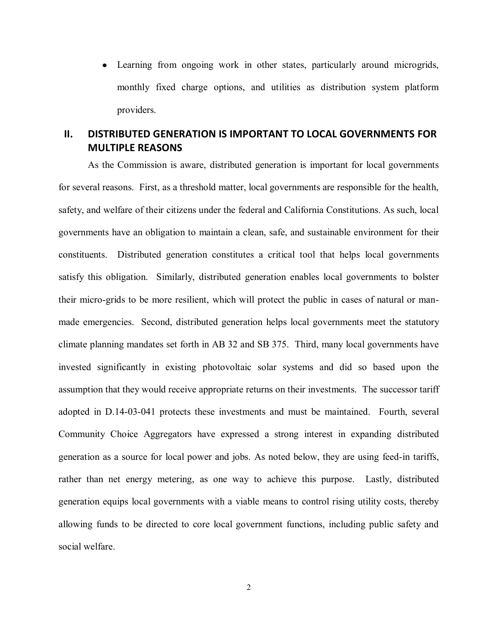Learning from ongoing work in other states, particularly around microgrids, monthly fixed charge options, and utilities as distribution system platform providers.

# <span id="page-3-0"></span>**II. DISTRIBUTED GENERATION IS IMPORTANT TO LOCAL GOVERNMENTS FOR MULTIPLE REASONS**

As the Commission is aware, distributed generation is important for local governments for several reasons. First, as a threshold matter, local governments are responsible for the health, safety, and welfare of their citizens under the federal and California Constitutions. As such, local governments have an obligation to maintain a clean, safe, and sustainable environment for their constituents. Distributed generation constitutes a critical tool that helps local governments satisfy this obligation. Similarly, distributed generation enables local governments to bolster their micro-grids to be more resilient, which will protect the public in cases of natural or manmade emergencies. Second, distributed generation helps local governments meet the statutory climate planning mandates set forth in AB 32 and SB 375. Third, many local governments have invested significantly in existing photovoltaic solar systems and did so based upon the assumption that they would receive appropriate returns on their investments. The successor tariff adopted in D.14-03-041 protects these investments and must be maintained. Fourth, several Community Choice Aggregators have expressed a strong interest in expanding distributed generation as a source for local power and jobs. As noted below, they are using feed-in tariffs, rather than net energy metering, as one way to achieve this purpose. Lastly, distributed generation equips local governments with a viable means to control rising utility costs, thereby allowing funds to be directed to core local government functions, including public safety and social welfare.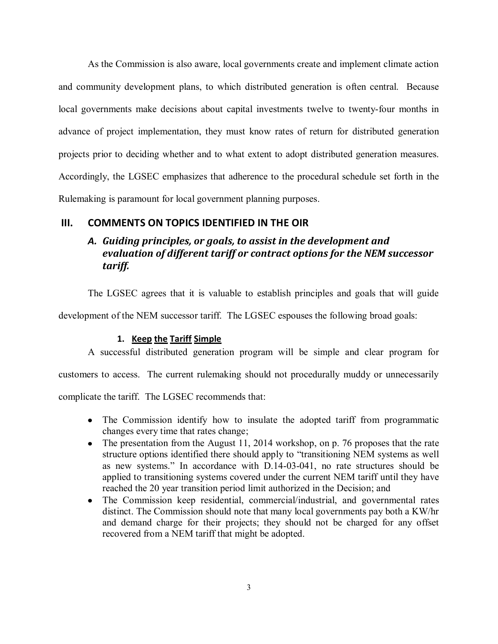As the Commission is also aware, local governments create and implement climate action and community development plans, to which distributed generation is often central. Because local governments make decisions about capital investments twelve to twenty-four months in advance of project implementation, they must know rates of return for distributed generation projects prior to deciding whether and to what extent to adopt distributed generation measures. Accordingly, the LGSEC emphasizes that adherence to the procedural schedule set forth in the Rulemaking is paramount for local government planning purposes.

### <span id="page-4-1"></span><span id="page-4-0"></span>**III. COMMENTS ON TOPICS IDENTIFIED IN THE OIR**

# *A. Guiding principles, or goals, to assist in the development and evaluation of different tariff or contract options for the NEM successor tariff.*

The LGSEC agrees that it is valuable to establish principles and goals that will guide

development of the NEM successor tariff. The LGSEC espouses the following broad goals:

#### **1. Keep the Tariff Simple**

<span id="page-4-2"></span>A successful distributed generation program will be simple and clear program for customers to access. The current rulemaking should not procedurally muddy or unnecessarily complicate the tariff. The LGSEC recommends that:

- The Commission identify how to insulate the adopted tariff from programmatic changes every time that rates change;
- The presentation from the August 11, 2014 workshop, on p. 76 proposes that the rate structure options identified there should apply to "transitioning NEM systems as well as new systems." In accordance with D.14-03-041, no rate structures should be applied to transitioning systems covered under the current NEM tariff until they have reached the 20 year transition period limit authorized in the Decision; and
- The Commission keep residential, commercial/industrial, and governmental rates distinct. The Commission should note that many local governments pay both a KW/hr and demand charge for their projects; they should not be charged for any offset recovered from a NEM tariff that might be adopted.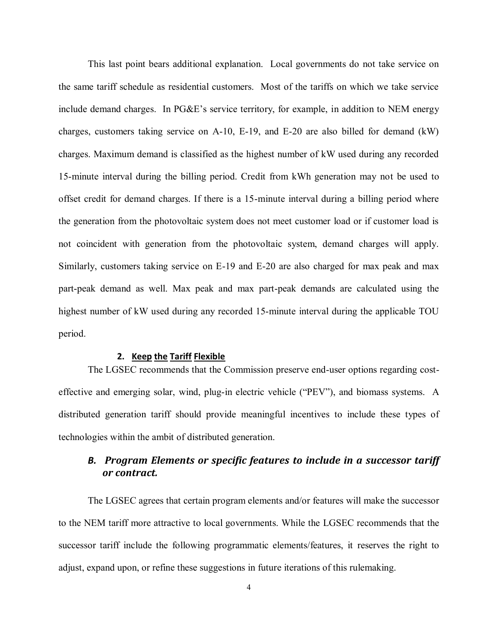This last point bears additional explanation. Local governments do not take service on the same tariff schedule as residential customers. Most of the tariffs on which we take service include demand charges. In PG&E's service territory, for example, in addition to NEM energy charges, customers taking service on A-10, E-19, and E-20 are also billed for demand (kW) charges. Maximum demand is classified as the highest number of kW used during any recorded 15-minute interval during the billing period. Credit from kWh generation may not be used to offset credit for demand charges. If there is a 15-minute interval during a billing period where the generation from the photovoltaic system does not meet customer load or if customer load is not coincident with generation from the photovoltaic system, demand charges will apply. Similarly, customers taking service on E-19 and E-20 are also charged for max peak and max part-peak demand as well. Max peak and max part-peak demands are calculated using the highest number of kW used during any recorded 15-minute interval during the applicable TOU period.

#### **2. Keep the Tariff Flexible**

<span id="page-5-0"></span>The LGSEC recommends that the Commission preserve end-user options regarding costeffective and emerging solar, wind, plug-in electric vehicle ("PEV"), and biomass systems. A distributed generation tariff should provide meaningful incentives to include these types of technologies within the ambit of distributed generation.

# <span id="page-5-1"></span>*B. Program Elements or specific features to include in a successor tariff or contract.*

The LGSEC agrees that certain program elements and/or features will make the successor to the NEM tariff more attractive to local governments. While the LGSEC recommends that the successor tariff include the following programmatic elements/features, it reserves the right to adjust, expand upon, or refine these suggestions in future iterations of this rulemaking.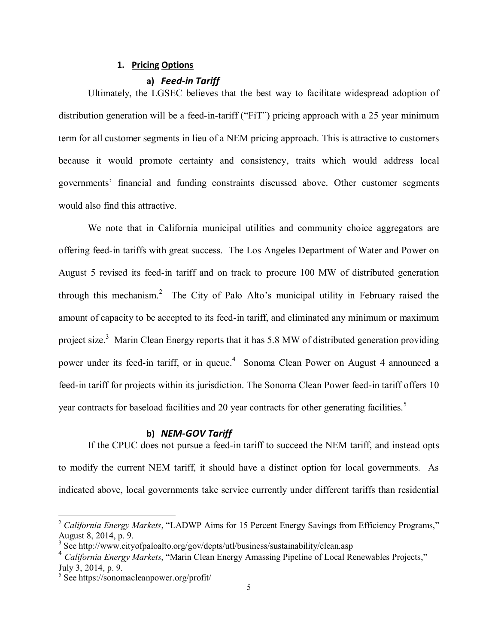#### **1. Pricing Options**

#### **a)** *Feed-in Tariff*

<span id="page-6-0"></span>Ultimately, the LGSEC believes that the best way to facilitate widespread adoption of distribution generation will be a feed-in-tariff ("FiT") pricing approach with a 25 year minimum term for all customer segments in lieu of a NEM pricing approach. This is attractive to customers because it would promote certainty and consistency, traits which would address local governments' financial and funding constraints discussed above. Other customer segments would also find this attractive.

We note that in California municipal utilities and community choice aggregators are offering feed-in tariffs with great success. The Los Angeles Department of Water and Power on August 5 revised its feed-in tariff and on track to procure 100 MW of distributed generation through this mechanism.<sup>2</sup> The City of Palo Alto's municipal utility in February raised the amount of capacity to be accepted to its feed-in tariff, and eliminated any minimum or maximum project size.<sup>3</sup> Marin Clean Energy reports that it has 5.8 MW of distributed generation providing power under its feed-in tariff, or in queue.<sup>4</sup> Sonoma Clean Power on August 4 announced a feed-in tariff for projects within its jurisdiction. The Sonoma Clean Power feed-in tariff offers 10 year contracts for baseload facilities and 20 year contracts for other generating facilities.<sup>5</sup>

#### **b)** *NEM-GOV Tariff*

If the CPUC does not pursue a feed-in tariff to succeed the NEM tariff, and instead opts to modify the current NEM tariff, it should have a distinct option for local governments. As indicated above, local governments take service currently under different tariffs than residential

<sup>&</sup>lt;sup>2</sup> California Energy Markets, "LADWP Aims for 15 Percent Energy Savings from Efficiency Programs," August 8, 2014, p. 9.

<sup>&</sup>lt;sup>3</sup> See http://www.cityofpaloalto.org/gov/depts/utl/business/sustainability/clean.asp

<sup>4</sup> *California Energy Markets*, "Marin Clean Energy Amassing Pipeline of Local Renewables Projects," July 3, 2014, p. 9.

<sup>&</sup>lt;sup>5</sup> See https://sonomacleanpower.org/profit/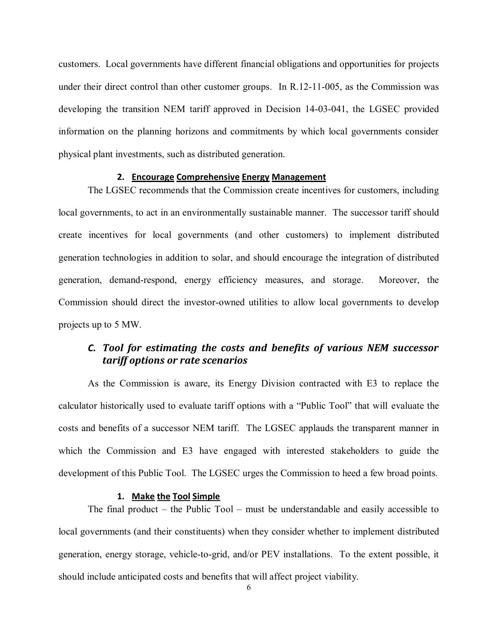customers. Local governments have different financial obligations and opportunities for projects under their direct control than other customer groups. In R.12-11-005, as the Commission was developing the transition NEM tariff approved in Decision 14-03-041, the LGSEC provided information on the planning horizons and commitments by which local governments consider physical plant investments, such as distributed generation.

#### **2. Encourage Comprehensive Energy Management**

<span id="page-7-0"></span>The LGSEC recommends that the Commission create incentives for customers, including local governments, to act in an environmentally sustainable manner. The successor tariff should create incentives for local governments (and other customers) to implement distributed generation technologies in addition to solar, and should encourage the integration of distributed generation, demand-respond, energy efficiency measures, and storage. Moreover, the Commission should direct the investor-owned utilities to allow local governments to develop projects up to 5 MW.

## <span id="page-7-1"></span>*C. Tool for estimating the costs and benefits of various NEM successor tariff options or rate scenarios*

As the Commission is aware, its Energy Division contracted with E3 to replace the calculator historically used to evaluate tariff options with a "Public Tool" that will evaluate the costs and benefits of a successor NEM tariff. The LGSEC applauds the transparent manner in which the Commission and E3 have engaged with interested stakeholders to guide the development of this Public Tool. The LGSEC urges the Commission to heed a few broad points.

#### **1. Make the Tool Simple**

<span id="page-7-2"></span>The final product – the Public Tool – must be understandable and easily accessible to local governments (and their constituents) when they consider whether to implement distributed generation, energy storage, vehicle-to-grid, and/or PEV installations. To the extent possible, it should include anticipated costs and benefits that will affect project viability.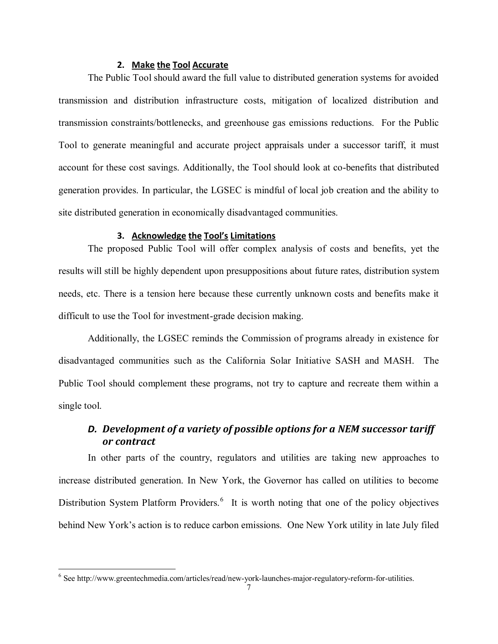#### **2. Make the Tool Accurate**

<span id="page-8-0"></span>The Public Tool should award the full value to distributed generation systems for avoided transmission and distribution infrastructure costs, mitigation of localized distribution and transmission constraints/bottlenecks, and greenhouse gas emissions reductions. For the Public Tool to generate meaningful and accurate project appraisals under a successor tariff, it must account for these cost savings. Additionally, the Tool should look at co-benefits that distributed generation provides. In particular, the LGSEC is mindful of local job creation and the ability to site distributed generation in economically disadvantaged communities.

### **3. Acknowledge the Tool's Limitations**

<span id="page-8-1"></span>The proposed Public Tool will offer complex analysis of costs and benefits, yet the results will still be highly dependent upon presuppositions about future rates, distribution system needs, etc. There is a tension here because these currently unknown costs and benefits make it difficult to use the Tool for investment-grade decision making.

Additionally, the LGSEC reminds the Commission of programs already in existence for disadvantaged communities such as the California Solar Initiative SASH and MASH. The Public Tool should complement these programs, not try to capture and recreate them within a single tool.

# <span id="page-8-2"></span>*D. Development of a variety of possible options for a NEM successor tariff or contract*

In other parts of the country, regulators and utilities are taking new approaches to increase distributed generation. In New York, the Governor has called on utilities to become Distribution System Platform Providers.<sup>6</sup> It is worth noting that one of the policy objectives behind New York's action is to reduce carbon emissions. One New York utility in late July filed

<sup>&</sup>lt;sup>6</sup> See http://www.greentechmedia.com/articles/read/new-york-launches-major-regulatory-reform-for-utilities.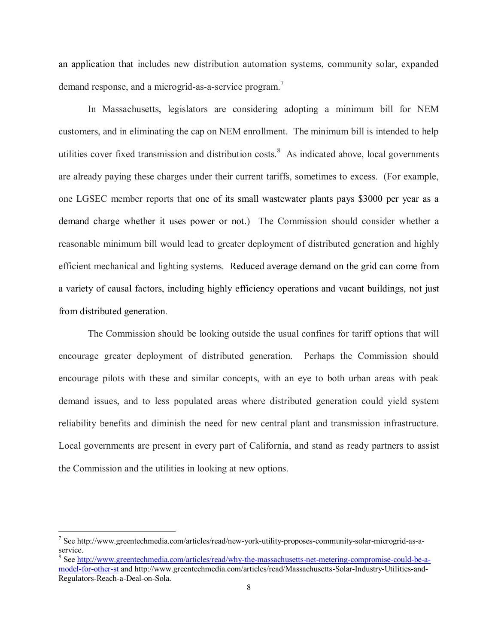an application that includes new distribution automation systems, community solar, expanded demand response, and a microgrid-as-a-service program.<sup>7</sup>

In Massachusetts, legislators are considering adopting a minimum bill for NEM customers, and in eliminating the cap on NEM enrollment. The minimum bill is intended to help utilities cover fixed transmission and distribution costs. $8$  As indicated above, local governments are already paying these charges under their current tariffs, sometimes to excess. (For example, one LGSEC member reports that one of its small wastewater plants pays \$3000 per year as a demand charge whether it uses power or not.) The Commission should consider whether a reasonable minimum bill would lead to greater deployment of distributed generation and highly efficient mechanical and lighting systems. Reduced average demand on the grid can come from a variety of causal factors, including highly efficiency operations and vacant buildings, not just from distributed generation.

The Commission should be looking outside the usual confines for tariff options that will encourage greater deployment of distributed generation. Perhaps the Commission should encourage pilots with these and similar concepts, with an eye to both urban areas with peak demand issues, and to less populated areas where distributed generation could yield system reliability benefits and diminish the need for new central plant and transmission infrastructure. Local governments are present in every part of California, and stand as ready partners to assist the Commission and the utilities in looking at new options.

<sup>7</sup> See http://www.greentechmedia.com/articles/read/new-york-utility-proposes-community-solar-microgrid-as-aservice.

<sup>&</sup>lt;sup>8</sup> See [http://www.greentechmedia.com/articles/read/why-the-massachusetts-net-metering-compromise-could-be-a](http://www.greentechmedia.com/articles/read/why-the-massachusetts-net-metering-compromise-could-be-a-model-for-other-st)[model-for-other-st](http://www.greentechmedia.com/articles/read/why-the-massachusetts-net-metering-compromise-could-be-a-model-for-other-st) and http://www.greentechmedia.com/articles/read/Massachusetts-Solar-Industry-Utilities-and-Regulators-Reach-a-Deal-on-Sola.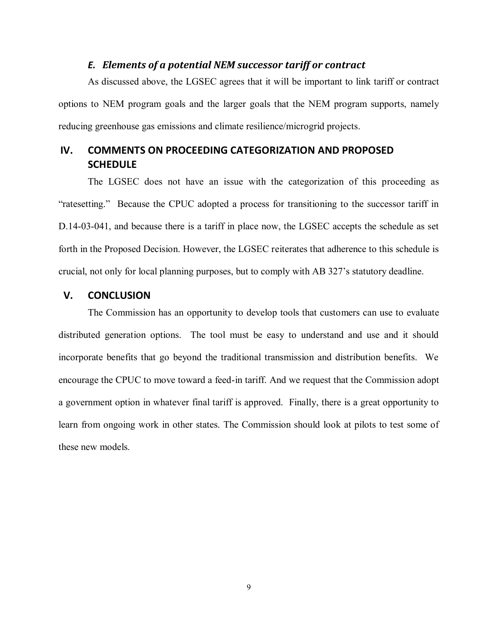### *E. Elements of a potential NEM successor tariff or contract*

<span id="page-10-0"></span>As discussed above, the LGSEC agrees that it will be important to link tariff or contract options to NEM program goals and the larger goals that the NEM program supports, namely reducing greenhouse gas emissions and climate resilience/microgrid projects.

# <span id="page-10-1"></span>**IV. COMMENTS ON PROCEEDING CATEGORIZATION AND PROPOSED SCHEDULE**

The LGSEC does not have an issue with the categorization of this proceeding as "ratesetting." Because the CPUC adopted a process for transitioning to the successor tariff in D.14-03-041, and because there is a tariff in place now, the LGSEC accepts the schedule as set forth in the Proposed Decision. However, the LGSEC reiterates that adherence to this schedule is crucial, not only for local planning purposes, but to comply with AB 327's statutory deadline.

### <span id="page-10-2"></span>**V. CONCLUSION**

The Commission has an opportunity to develop tools that customers can use to evaluate distributed generation options. The tool must be easy to understand and use and it should incorporate benefits that go beyond the traditional transmission and distribution benefits. We encourage the CPUC to move toward a feed-in tariff. And we request that the Commission adopt a government option in whatever final tariff is approved. Finally, there is a great opportunity to learn from ongoing work in other states. The Commission should look at pilots to test some of these new models.